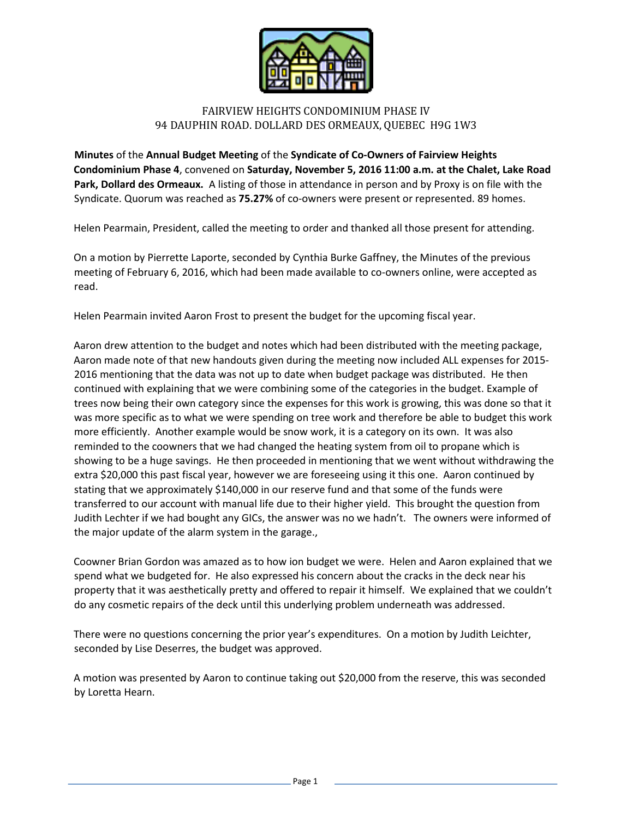

## FAIRVIEW HEIGHTS CONDOMINIUM PHASE IV 94 DAUPHIN ROAD. DOLLARD DES ORMEAUX, QUEBEC H9G 1W3

**Minutes** of the **Annual Budget Meeting** of the **Syndicate of Co-Owners of Fairview Heights Condominium Phase 4**, convened on **Saturday, November 5, 2016 11:00 a.m. at the Chalet, Lake Road Park, Dollard des Ormeaux.** A listing of those in attendance in person and by Proxy is on file with the Syndicate. Quorum was reached as **75.27%** of co-owners were present or represented. 89 homes.

Helen Pearmain, President, called the meeting to order and thanked all those present for attending.

On a motion by Pierrette Laporte, seconded by Cynthia Burke Gaffney, the Minutes of the previous meeting of February 6, 2016, which had been made available to co-owners online, were accepted as read.

Helen Pearmain invited Aaron Frost to present the budget for the upcoming fiscal year.

Aaron drew attention to the budget and notes which had been distributed with the meeting package, Aaron made note of that new handouts given during the meeting now included ALL expenses for 2015- 2016 mentioning that the data was not up to date when budget package was distributed. He then continued with explaining that we were combining some of the categories in the budget. Example of trees now being their own category since the expenses for this work is growing, this was done so that it was more specific as to what we were spending on tree work and therefore be able to budget this work more efficiently. Another example would be snow work, it is a category on its own. It was also reminded to the coowners that we had changed the heating system from oil to propane which is showing to be a huge savings. He then proceeded in mentioning that we went without withdrawing the extra \$20,000 this past fiscal year, however we are foreseeing using it this one. Aaron continued by stating that we approximately \$140,000 in our reserve fund and that some of the funds were transferred to our account with manual life due to their higher yield. This brought the question from Judith Lechter if we had bought any GICs, the answer was no we hadn't. The owners were informed of the major update of the alarm system in the garage.,

Coowner Brian Gordon was amazed as to how ion budget we were. Helen and Aaron explained that we spend what we budgeted for. He also expressed his concern about the cracks in the deck near his property that it was aesthetically pretty and offered to repair it himself. We explained that we couldn't do any cosmetic repairs of the deck until this underlying problem underneath was addressed.

There were no questions concerning the prior year's expenditures. On a motion by Judith Leichter, seconded by Lise Deserres, the budget was approved.

A motion was presented by Aaron to continue taking out \$20,000 from the reserve, this was seconded by Loretta Hearn.